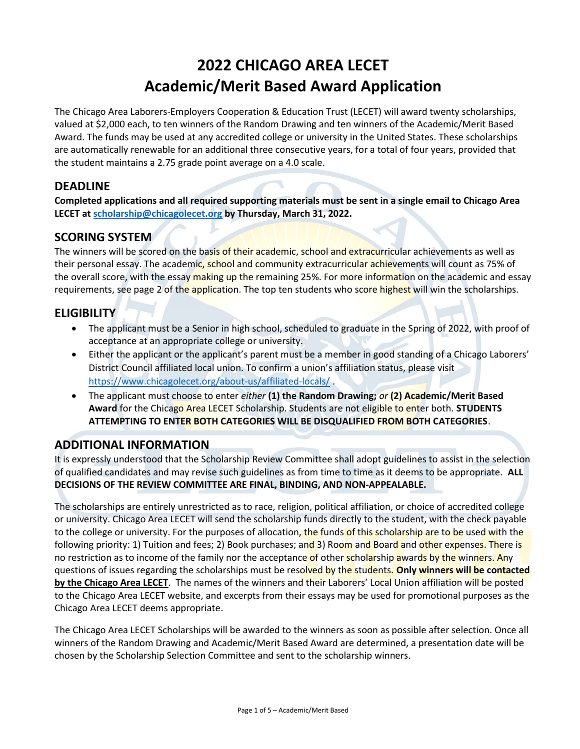# 2022 CHICAGO AREA LECET Academic/Merit Based Award Application

The Chicago Area Laborers-Employers Cooperation & Education Trust (LECET) will award twenty scholarships, valued at \$2,000 each, to ten winners of the Random Drawing and ten winners of the Academic/Merit Based Award. The funds may be used at any accredited college or university in the United States. These scholarships are automatically renewable for an additional three consecutive years, for a total of four years, provided that the student maintains a 2.75 grade point average on a 4.0 scale.

## DEADLINE

Completed applications and all required supporting materials must be sent in a single email to Chicago Area LECET at scholarship@chicagolecet.org by Thursday, March 31, 2022.

### SCORING SYSTEM

The winners will be scored on the basis of their academic, school and extracurricular achievements as well as their personal essay. The academic, school and community extracurricular achievements will count as 75% of the overall score, with the essay making up the remaining 25%. For more information on the academic and essay requirements, see page 2 of the application. The top ten students who score highest will win the scholarships.

## **ELIGIBILITY**

- The applicant must be a Senior in high school, scheduled to graduate in the Spring of 2022, with proof of acceptance at an appropriate college or university.
- Either the applicant or the applicant's parent must be a member in good standing of a Chicago Laborers' District Council affiliated local union. To confirm a union's affiliation status, please visit https://www.chicagolecet.org/about-us/affiliated-locals/ .
- The applicant must choose to enter either  $(1)$  the Random Drawing; or  $(2)$  Academic/Merit Based Award for the Chicago Area LECET Scholarship. Students are not eligible to enter both. STUDENTS ATTEMPTING TO ENTER BOTH CATEGORIES WILL BE DISQUALIFIED FROM BOTH CATEGORIES.

## ADDITIONAL INFORMATION

It is expressly understood that the Scholarship Review Committee shall adopt guidelines to assist in the selection of qualified candidates and may revise such guidelines as from time to time as it deems to be appropriate. ALL DECISIONS OF THE REVIEW COMMITTEE ARE FINAL, BINDING, AND NON-APPEALABLE.

The scholarships are entirely unrestricted as to race, religion, political affiliation, or choice of accredited college or university. Chicago Area LECET will send the scholarship funds directly to the student, with the check payable to the college or university. For the purposes of allocation, the funds of this scholarship are to be used with the following priority: 1) Tuition and fees; 2) Book purchases; and 3) Room and Board and other expenses. There is no restriction as to income of the family nor the acceptance of other scholarship awards by the winners. Any questions of issues regarding the scholarships must be resolved by the students. Only winners will be contacted by the Chicago Area LECET. The names of the winners and their Laborers' Local Union affiliation will be posted to the Chicago Area LECET website, and excerpts from their essays may be used for promotional purposes as the Chicago Area LECET deems appropriate.

The Chicago Area LECET Scholarships will be awarded to the winners as soon as possible after selection. Once all winners of the Random Drawing and Academic/Merit Based Award are determined, a presentation date will be chosen by the Scholarship Selection Committee and sent to the scholarship winners.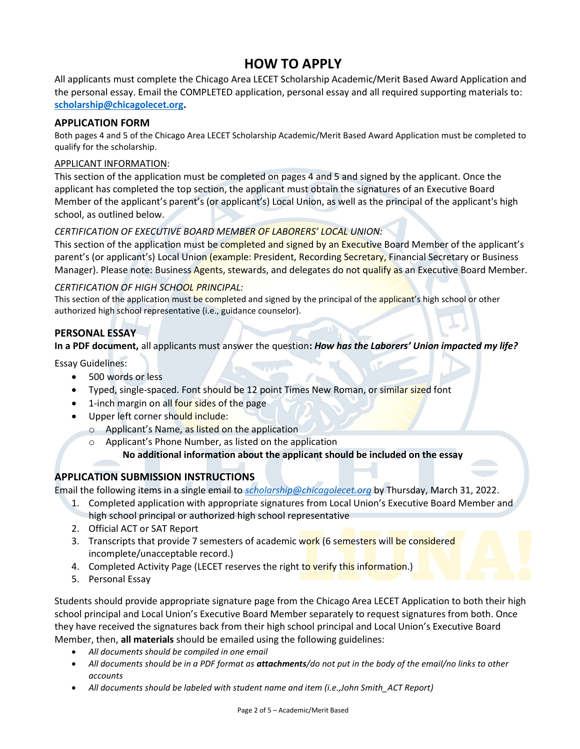## HOW TO APPLY

All applicants must complete the Chicago Area LECET Scholarship Academic/Merit Based Award Application and the personal essay. Email the COMPLETED application, personal essay and all required supporting materials to: scholarship@chicagolecet.org.

#### APPLICATION FORM

Both pages 4 and 5 of the Chicago Area LECET Scholarship Academic/Merit Based Award Application must be completed to qualify for the scholarship.

#### APPLICANT INFORMATION:

This section of the application must be completed on pages 4 and 5 and signed by the applicant. Once the applicant has completed the top section, the applicant must obtain the signatures of an Executive Board Member of the applicant's parent's (or applicant's) Local Union, as well as the principal of the applicant's high school, as outlined below.

#### CERTIFICATION OF EXECUTIVE BOARD MEMBER OF LABORERS' LOCAL UNION:

This section of the application must be completed and signed by an Executive Board Member of the applicant's parent's (or applicant's) Local Union (example: President, Recording Secretary, Financial Secretary or Business Manager). Please note: Business Agents, stewards, and delegates do not qualify as an Executive Board Member.

#### CERTIFICATION OF HIGH SCHOOL PRINCIPAL:

This section of the application must be completed and signed by the principal of the applicant's high school or other authorized high school representative (i.e., guidance counselor).

#### PERSONAL ESSAY

In a PDF document, all applicants must answer the question: How has the Laborers' Union impacted my life?

Essay Guidelines:

- 500 words or less
- Typed, single-spaced. Font should be 12 point Times New Roman, or similar sized font
- 1-inch margin on all four sides of the page
- Upper left corner should include:
	- $\circ$  Applicant's Name, as listed on the application
	- o Applicant's Phone Number, as listed on the application

No additional information about the applicant should be included on the essay

#### APPLICATION SUBMISSION INSTRUCTIONS

Email the following items in a single email to *scholarship@chicagolecet.org* by Thursday, March 31, 2022.

- 1. Completed application with appropriate signatures from Local Union's Executive Board Member and high school principal or authorized high school representative
- 2. Official ACT or SAT Report
- 3. Transcripts that provide 7 semesters of academic work (6 semesters will be considered incomplete/unacceptable record.)
- 4. Completed Activity Page (LECET reserves the right to verify this information.)
- 5. Personal Essay

Students should provide appropriate signature page from the Chicago Area LECET Application to both their high school principal and Local Union's Executive Board Member separately to request signatures from both. Once they have received the signatures back from their high school principal and Local Union's Executive Board Member, then, all materials should be emailed using the following guidelines:

- All documents should be compiled in one email
- All documents should be in a PDF format as **attachments**/do not put in the body of the email/no links to other accounts
- All documents should be labeled with student name and item (i.e., John Smith\_ACT Report)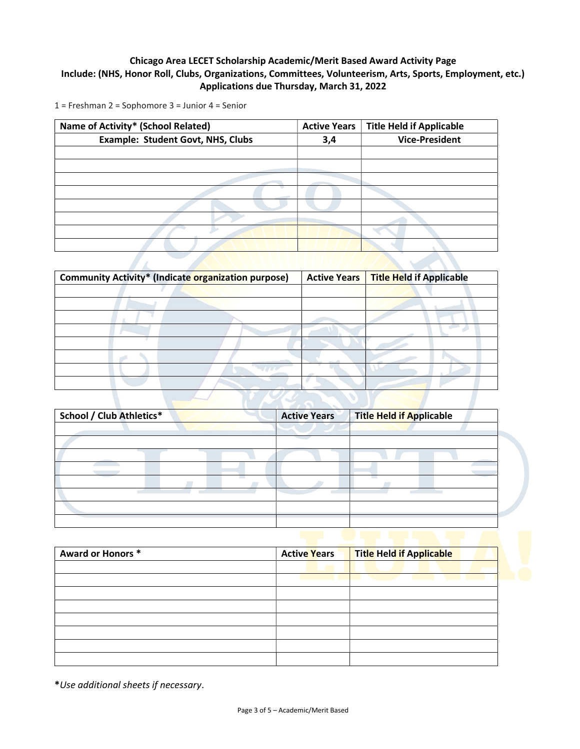#### Chicago Area LECET Scholarship Academic/Merit Based Award Activity Page Include: (NHS, Honor Roll, Clubs, Organizations, Committees, Volunteerism, Arts, Sports, Employment, etc.) Applications due Thursday, March 31, 2022

1 = Freshman 2 = Sophomore 3 = Junior 4 = Senior

| Name of Activity* (School Related)       | <b>Active Years</b> | <b>Title Held if Applicable</b> |
|------------------------------------------|---------------------|---------------------------------|
| <b>Example: Student Govt, NHS, Clubs</b> | 3,4                 | <b>Vice-President</b>           |
|                                          |                     |                                 |
|                                          |                     |                                 |
|                                          |                     |                                 |
|                                          |                     |                                 |
|                                          |                     |                                 |
|                                          |                     |                                 |
|                                          |                     |                                 |
|                                          |                     |                                 |
|                                          |                     |                                 |

| <b>Community Activity* (Indicate organization purpose)</b> | <b>Active Years</b> | <b>Title Held if Applicable</b> |
|------------------------------------------------------------|---------------------|---------------------------------|
|                                                            |                     |                                 |
|                                                            |                     |                                 |
|                                                            |                     |                                 |
|                                                            |                     |                                 |
|                                                            |                     |                                 |
|                                                            |                     |                                 |
|                                                            |                     |                                 |
|                                                            |                     |                                 |
|                                                            |                     |                                 |

| <b>School / Club Athletics*</b> | <b>Active Years</b> | <b>Title Held if Applicable</b> |  |
|---------------------------------|---------------------|---------------------------------|--|
|                                 |                     |                                 |  |
|                                 |                     |                                 |  |
|                                 |                     |                                 |  |
|                                 |                     |                                 |  |
|                                 |                     |                                 |  |
|                                 |                     |                                 |  |
|                                 |                     |                                 |  |
|                                 |                     |                                 |  |

| Award or Honors * | <b>Active Years</b> | Title Held if Applicable |
|-------------------|---------------------|--------------------------|
|                   |                     |                          |
|                   |                     |                          |
|                   |                     |                          |
|                   |                     |                          |
|                   |                     |                          |
|                   |                     |                          |
|                   |                     |                          |

\*Use additional sheets if necessary.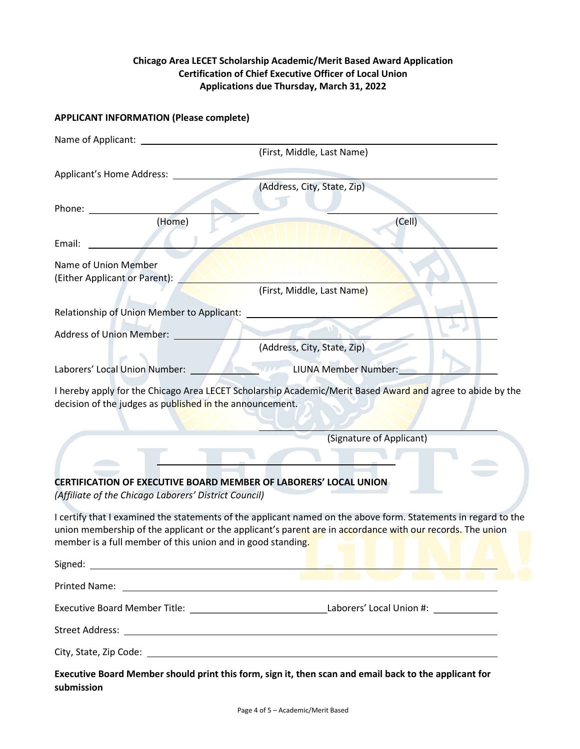#### Chicago Area LECET Scholarship Academic/Merit Based Award Application Certification of Chief Executive Officer of Local Union Applications due Thursday, March 31, 2022

#### APPLICANT INFORMATION (Please complete)

| Name of Applicant: _                                                                                                           |                                                                                                                                                                                                                             |
|--------------------------------------------------------------------------------------------------------------------------------|-----------------------------------------------------------------------------------------------------------------------------------------------------------------------------------------------------------------------------|
|                                                                                                                                | (First, Middle, Last Name)                                                                                                                                                                                                  |
| Applicant's Home Address:                                                                                                      |                                                                                                                                                                                                                             |
|                                                                                                                                | (Address, City, State, Zip)                                                                                                                                                                                                 |
| Phone:                                                                                                                         |                                                                                                                                                                                                                             |
| (Home)                                                                                                                         | (Cell)                                                                                                                                                                                                                      |
| Email:                                                                                                                         |                                                                                                                                                                                                                             |
| Name of Union Member                                                                                                           |                                                                                                                                                                                                                             |
| (Either Applicant or Parent):                                                                                                  |                                                                                                                                                                                                                             |
|                                                                                                                                | (First, Middle, Last Name)                                                                                                                                                                                                  |
| Relationship of Union Member to Applicant:                                                                                     |                                                                                                                                                                                                                             |
| <b>Address of Union Member:</b>                                                                                                |                                                                                                                                                                                                                             |
|                                                                                                                                | (Address, City, State, Zip)                                                                                                                                                                                                 |
| Laborers' Local Union Number:                                                                                                  | LIUNA Member Number:                                                                                                                                                                                                        |
| decision of the judges as published in the announcement.                                                                       |                                                                                                                                                                                                                             |
|                                                                                                                                | (Signature of Applicant)                                                                                                                                                                                                    |
|                                                                                                                                |                                                                                                                                                                                                                             |
| <b>CERTIFICATION OF EXECUTIVE BOARD MEMBER OF LABORERS' LOCAL UNION</b>                                                        |                                                                                                                                                                                                                             |
| (Affiliate of the Chicago Laborers' District Council)                                                                          |                                                                                                                                                                                                                             |
| member is a full member of this union and in good standing.<br>Signed:<br><u> 1989 - Johann Stoff, Amerikaansk politiker (</u> | I certify that I examined the statements of the applicant named on the above form. Statements in regard to the<br>union membership of the applicant or the applicant's parent are in accordance with our records. The union |
| Printed Name:                                                                                                                  | <u> 1989 - Johann Stein, mars and de Branch and de Branch and de Branch and de Branch and de Branch and de Branch</u>                                                                                                       |
|                                                                                                                                | Executive Board Member Title: ___________________________________Laborers' Local Union #: _______________                                                                                                                   |
| <b>Street Address:</b>                                                                                                         | <u> 1980 - Andrea Station Barbara, amerikan personal (h. 1980).</u>                                                                                                                                                         |
|                                                                                                                                |                                                                                                                                                                                                                             |
|                                                                                                                                |                                                                                                                                                                                                                             |
| submission                                                                                                                     | Executive Board Member should print this form, sign it, then scan and email back to the applicant for                                                                                                                       |